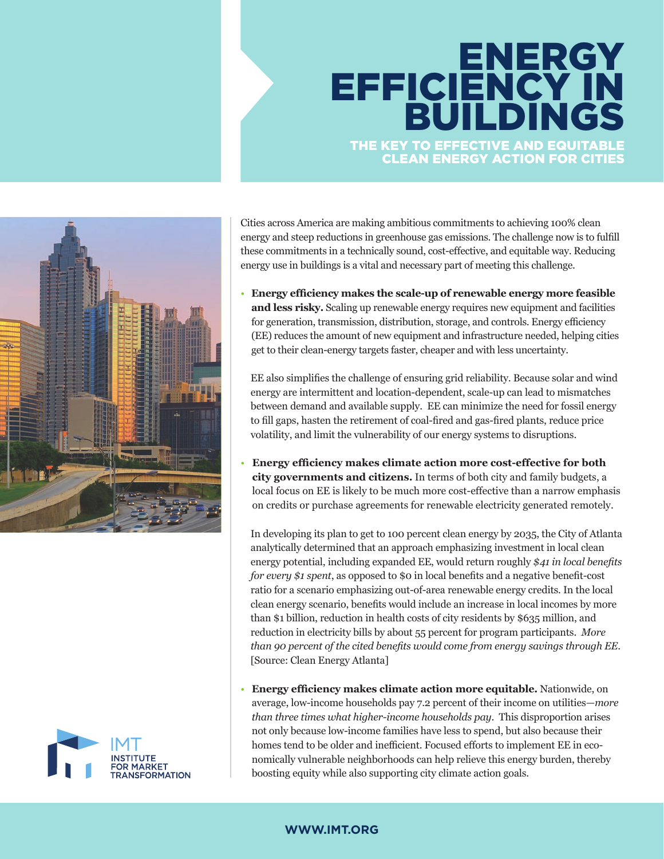# THE KEY TO EFFECTIVE AND EQUITABLE **ENERGY** EFFICIENCY IN BUILDINGS

CLEAN ENERGY ACTION FOR CITIES



Cities across America are making ambitious commitments to achieving 100% clean energy and steep reductions in greenhouse gas emissions. The challenge now is to fulfill these commitments in a technically sound, cost-effective, and equitable way. Reducing energy use in buildings is a vital and necessary part of meeting this challenge.

• **Energy efficiency makes the scale-up of renewable energy more feasible and less risky.** Scaling up renewable energy requires new equipment and facilities for generation, transmission, distribution, storage, and controls. Energy efficiency (EE) reduces the amount of new equipment and infrastructure needed, helping cities get to their clean-energy targets faster, cheaper and with less uncertainty.

EE also simplifies the challenge of ensuring grid reliability. Because solar and wind energy are intermittent and location-dependent, scale-up can lead to mismatches between demand and available supply. EE can minimize the need for fossil energy to fill gaps, hasten the retirement of coal-fired and gas-fired plants, reduce price volatility, and limit the vulnerability of our energy systems to disruptions.

• **Energy efficiency makes climate action more cost-effective for both city governments and citizens.** In terms of both city and family budgets, a local focus on EE is likely to be much more cost-effective than a narrow emphasis on credits or purchase agreements for renewable electricity generated remotely.

In developing its plan to get to 100 percent clean energy by 2035, the City of Atlanta analytically determined that an approach emphasizing investment in local clean energy potential, including expanded EE, would return roughly *\$41 in local benefits for every \$1 spent*, as opposed to \$0 in local benefits and a negative benefit-cost ratio for a scenario emphasizing out-of-area renewable energy credits. In the local clean energy scenario, benefits would include an increase in local incomes by more than \$1 billion, reduction in health costs of city residents by \$635 million, and reduction in electricity bills by about 55 percent for program participants. *More than 90 percent of the cited benefits would come from energy savings through EE*. [Source: Clean Energy Atlanta]

• **Energy efficiency makes climate action more equitable.** Nationwide, on average, low-income households pay 7.2 percent of their income on utilities—*more than three times what higher-income households pay*. This disproportion arises not only because low-income families have less to spend, but also because their homes tend to be older and inefficient. Focused efforts to implement EE in economically vulnerable neighborhoods can help relieve this energy burden, thereby boosting equity while also supporting city climate action goals.

# **WWW.IMT.ORG**